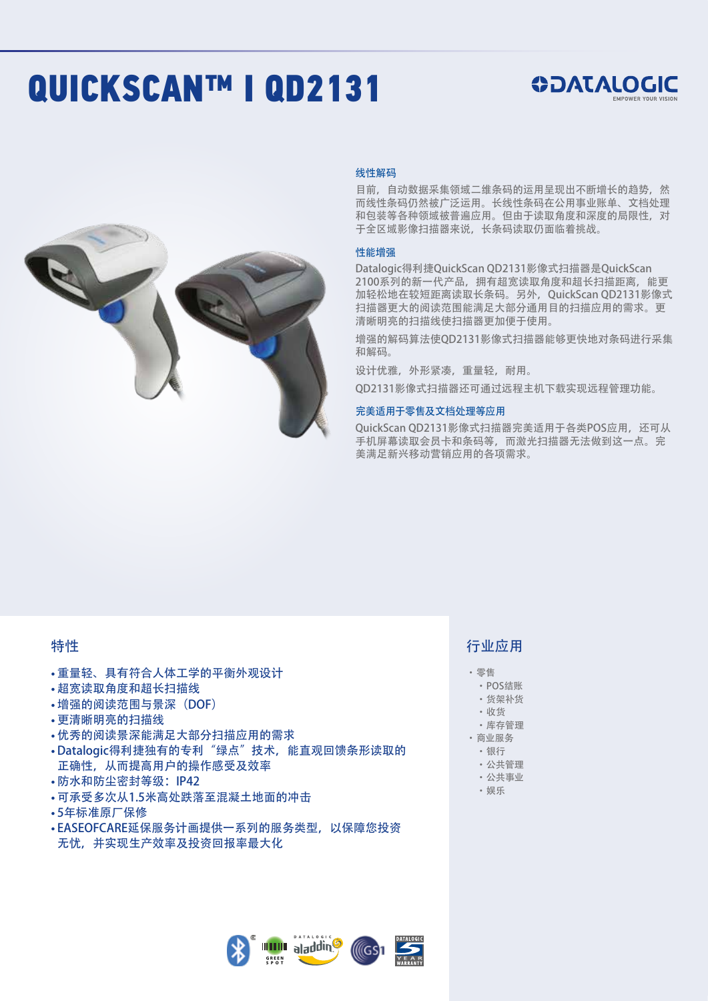# QUICKSCAN™ I QD2131





#### 线性解码

目前,自动数据采集领域二维条码的运用呈现出不断增长的趋势,然 而线性条码仍然被广泛运用。长线性条码在公用事业账单、文档处理 和包装等各种领域被普遍应用。但由于读取角度和深度的局限性,对 于全区域影像扫描器来说,长条码读取仍面临着挑战。

#### 性能增强

Datalogic得利捷QuickScan QD2131影像式扫描器是QuickScan 2100系列的新一代产品,拥有超宽读取角度和超长扫描距离,能更 加轻松地在较短距离读取长条码。另外,QuickScan QD2131影像式 扫描器更大的阅读范围能满足大部分通用目的扫描应用的需求。更 清晰明亮的扫描线使扫描器更加便于使用。

增强的解码算法使QD2131影像式扫描器能够更快地对条码进行采集 和解码。

设计优雅,外形紧凑,重量轻,耐用。

QD2131影像式扫描器还可通过远程主机下载实现远程管理功能。

#### 完美适用于零售及文档处理等应用

OuickScan OD2131影像式扫描器完美适用于各类POS应用,还可从 手机屏幕读取会员卡和条码等,而激光扫描器无法做到这一点。完 美满足新兴移动营销应用的各项需求。

### 特性

- •重量轻、具有符合人体工学的平衡外观设计
- •超宽读取角度和超长扫描线
- •增强的阅读范围与景深(DOF)
- •更清晰明亮的扫描线
- •优秀的阅读景深能满足大部分扫描应用的需求
- Datalogic得利捷独有的专利"绿点"技术, 能直观回馈条形读取的 正确性,从而提高用户的操作感受及效率
- •防水和防尘密封等级:IP42
- •可承受多次从1.5米高处跌落至混凝土地面的冲击
- 5年标准原厂保修
- EASEOFCARE延保服务计画提供一系列的服务类型, 以保障您投资 无忧,并实现生产效率及投资回报率最大化





## 行业应用

- • 零售
- • POS结账
- • 货架补货
- • 收货
- • 库存管理 • 商业服务
- • 银行
- • 公共管理
- • 公共事业
- • 娱乐